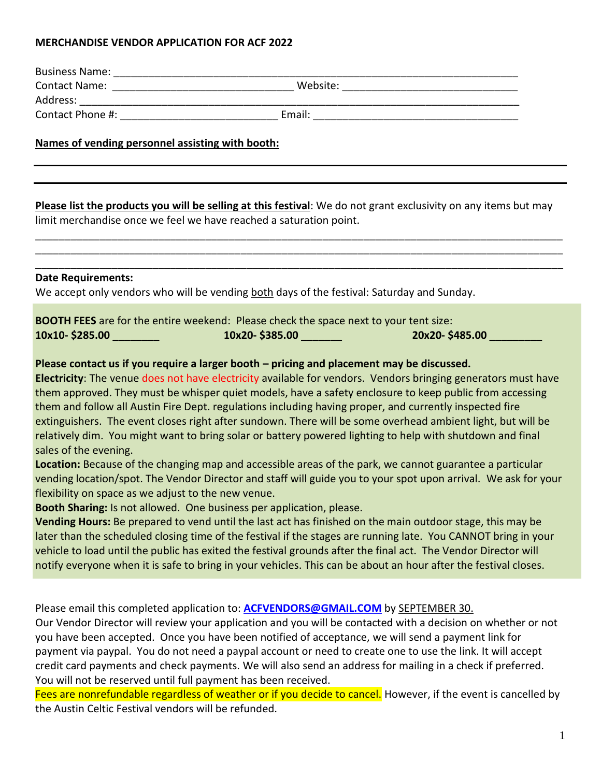## **MERCHANDISE VENDOR APPLICATION FOR ACF 2022**

| Names of vending personnel assisting with booth:                             |                                                                                                                                                                                                                                                                                                                                                                                                                                                                                                                                                                                                                                                                                                                                                                                                                                                                                                                                                                                                                                                                                                                                                                                                                                                                                                                                                                                                                                        |                |
|------------------------------------------------------------------------------|----------------------------------------------------------------------------------------------------------------------------------------------------------------------------------------------------------------------------------------------------------------------------------------------------------------------------------------------------------------------------------------------------------------------------------------------------------------------------------------------------------------------------------------------------------------------------------------------------------------------------------------------------------------------------------------------------------------------------------------------------------------------------------------------------------------------------------------------------------------------------------------------------------------------------------------------------------------------------------------------------------------------------------------------------------------------------------------------------------------------------------------------------------------------------------------------------------------------------------------------------------------------------------------------------------------------------------------------------------------------------------------------------------------------------------------|----------------|
|                                                                              | Please list the products you will be selling at this festival: We do not grant exclusivity on any items but may<br>limit merchandise once we feel we have reached a saturation point.                                                                                                                                                                                                                                                                                                                                                                                                                                                                                                                                                                                                                                                                                                                                                                                                                                                                                                                                                                                                                                                                                                                                                                                                                                                  |                |
| <b>Date Requirements:</b>                                                    | We accept only vendors who will be vending both days of the festival: Saturday and Sunday.                                                                                                                                                                                                                                                                                                                                                                                                                                                                                                                                                                                                                                                                                                                                                                                                                                                                                                                                                                                                                                                                                                                                                                                                                                                                                                                                             |                |
|                                                                              | <b>BOOTH FEES</b> are for the entire weekend: Please check the space next to your tent size:                                                                                                                                                                                                                                                                                                                                                                                                                                                                                                                                                                                                                                                                                                                                                                                                                                                                                                                                                                                                                                                                                                                                                                                                                                                                                                                                           | 20x20-\$485.00 |
| sales of the evening.<br>flexibility on space as we adjust to the new venue. | Please contact us if you require a larger booth - pricing and placement may be discussed.<br>Electricity: The venue does not have electricity available for vendors. Vendors bringing generators must have<br>them approved. They must be whisper quiet models, have a safety enclosure to keep public from accessing<br>them and follow all Austin Fire Dept. regulations including having proper, and currently inspected fire<br>extinguishers. The event closes right after sundown. There will be some overhead ambient light, but will be<br>relatively dim. You might want to bring solar or battery powered lighting to help with shutdown and final<br>Location: Because of the changing map and accessible areas of the park, we cannot guarantee a particular<br>vending location/spot. The Vendor Director and staff will guide you to your spot upon arrival. We ask for your<br>Booth Sharing: Is not allowed. One business per application, please.<br>Vending Hours: Be prepared to vend until the last act has finished on the main outdoor stage, this may be<br>later than the scheduled closing time of the festival if the stages are running late. You CANNOT bring in your<br>vehicle to load until the public has exited the festival grounds after the final act. The Vendor Director will<br>notify everyone when it is safe to bring in your vehicles. This can be about an hour after the festival closes. |                |
|                                                                              | Please email this completed application to: <b>ACFVENDORS@GMAIL.COM</b> by SEPTEMBER 30.<br>Our Vendor Director will review your application and you will be contacted with a decision on whether or not<br>you have been accepted. Once you have been notified of acceptance, we will send a payment link for<br>payment via paypal. You do not need a paypal account or need to create one to use the link. It will accept<br>credit card payments and check payments. We will also send an address for mailing in a check if preferred.<br>You will not be reserved until full payment has been received.<br>Fees are nonrefundable regardless of weather or if you decide to cancel. However, if the event is cancelled by                                                                                                                                                                                                                                                                                                                                                                                                                                                                                                                                                                                                                                                                                                         |                |

<mark>ou decide to cancel.</mark> However, if the event is cancelled by the Austin Celtic Festival vendors will be refunded.